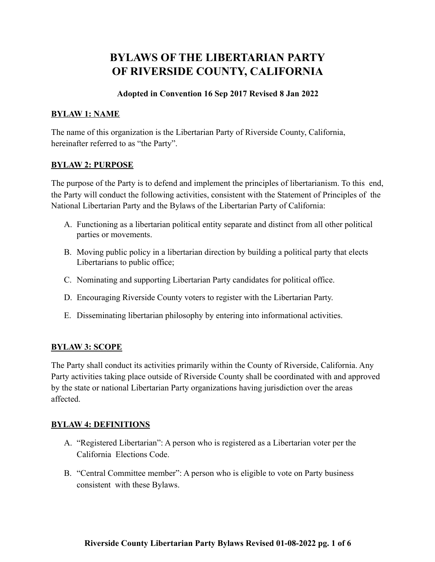# **BYLAWS OF THE LIBERTARIAN PARTY OF RIVERSIDE COUNTY, CALIFORNIA**

## **Adopted in Convention 16 Sep 2017 Revised 8 Jan 2022**

#### **BYLAW 1: NAME**

The name of this organization is the Libertarian Party of Riverside County, California, hereinafter referred to as "the Party".

#### **BYLAW 2: PURPOSE**

The purpose of the Party is to defend and implement the principles of libertarianism. To this end, the Party will conduct the following activities, consistent with the Statement of Principles of the National Libertarian Party and the Bylaws of the Libertarian Party of California:

- A. Functioning as a libertarian political entity separate and distinct from all other political parties or movements.
- B. Moving public policy in a libertarian direction by building a political party that elects Libertarians to public office;
- C. Nominating and supporting Libertarian Party candidates for political office.
- D. Encouraging Riverside County voters to register with the Libertarian Party.
- E. Disseminating libertarian philosophy by entering into informational activities.

### **BYLAW 3: SCOPE**

The Party shall conduct its activities primarily within the County of Riverside, California. Any Party activities taking place outside of Riverside County shall be coordinated with and approved by the state or national Libertarian Party organizations having jurisdiction over the areas affected.

### **BYLAW 4: DEFINITIONS**

- A. "Registered Libertarian": A person who is registered as a Libertarian voter per the California Elections Code.
- B. "Central Committee member": A person who is eligible to vote on Party business consistent with these Bylaws.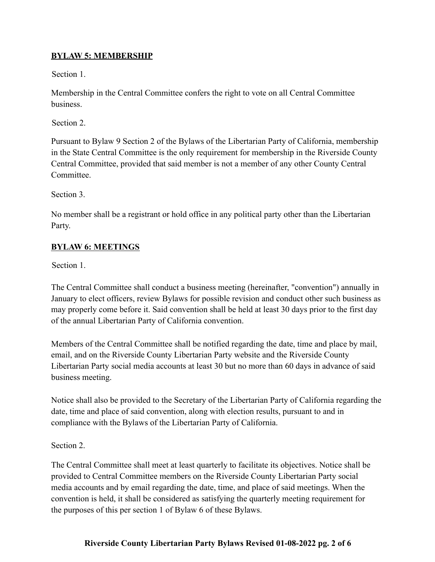## **BYLAW 5: MEMBERSHIP**

Section 1.

Membership in the Central Committee confers the right to vote on all Central Committee business.

Section 2.

Pursuant to Bylaw 9 Section 2 of the Bylaws of the Libertarian Party of California, membership in the State Central Committee is the only requirement for membership in the Riverside County Central Committee, provided that said member is not a member of any other County Central **Committee** 

Section 3.

No member shall be a registrant or hold office in any political party other than the Libertarian Party.

## **BYLAW 6: MEETINGS**

Section 1.

The Central Committee shall conduct a business meeting (hereinafter, "convention") annually in January to elect officers, review Bylaws for possible revision and conduct other such business as may properly come before it. Said convention shall be held at least 30 days prior to the first day of the annual Libertarian Party of California convention.

Members of the Central Committee shall be notified regarding the date, time and place by mail, email, and on the Riverside County Libertarian Party website and the Riverside County Libertarian Party social media accounts at least 30 but no more than 60 days in advance of said business meeting.

Notice shall also be provided to the Secretary of the Libertarian Party of California regarding the date, time and place of said convention, along with election results, pursuant to and in compliance with the Bylaws of the Libertarian Party of California.

Section 2.

The Central Committee shall meet at least quarterly to facilitate its objectives. Notice shall be provided to Central Committee members on the Riverside County Libertarian Party social media accounts and by email regarding the date, time, and place of said meetings. When the convention is held, it shall be considered as satisfying the quarterly meeting requirement for the purposes of this per section 1 of Bylaw 6 of these Bylaws.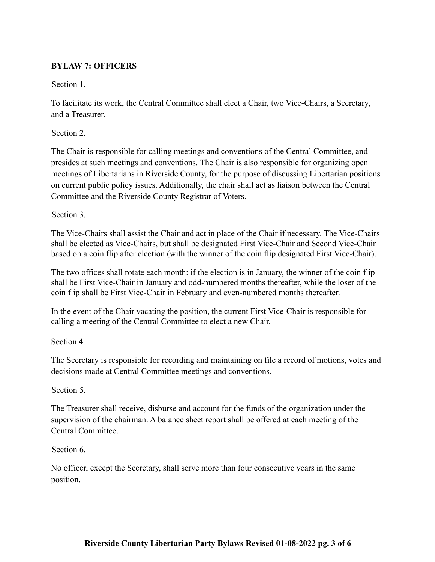## **BYLAW 7: OFFICERS**

Section 1.

To facilitate its work, the Central Committee shall elect a Chair, two Vice-Chairs, a Secretary, and a Treasurer.

Section 2.

The Chair is responsible for calling meetings and conventions of the Central Committee, and presides at such meetings and conventions. The Chair is also responsible for organizing open meetings of Libertarians in Riverside County, for the purpose of discussing Libertarian positions on current public policy issues. Additionally, the chair shall act as liaison between the Central Committee and the Riverside County Registrar of Voters.

Section 3.

The Vice-Chairs shall assist the Chair and act in place of the Chair if necessary. The Vice-Chairs shall be elected as Vice-Chairs, but shall be designated First Vice-Chair and Second Vice-Chair based on a coin flip after election (with the winner of the coin flip designated First Vice-Chair).

The two offices shall rotate each month: if the election is in January, the winner of the coin flip shall be First Vice-Chair in January and odd-numbered months thereafter, while the loser of the coin flip shall be First Vice-Chair in February and even-numbered months thereafter.

In the event of the Chair vacating the position, the current First Vice-Chair is responsible for calling a meeting of the Central Committee to elect a new Chair.

Section 4.

The Secretary is responsible for recording and maintaining on file a record of motions, votes and decisions made at Central Committee meetings and conventions.

Section 5.

The Treasurer shall receive, disburse and account for the funds of the organization under the supervision of the chairman. A balance sheet report shall be offered at each meeting of the Central Committee.

Section 6.

No officer, except the Secretary, shall serve more than four consecutive years in the same position.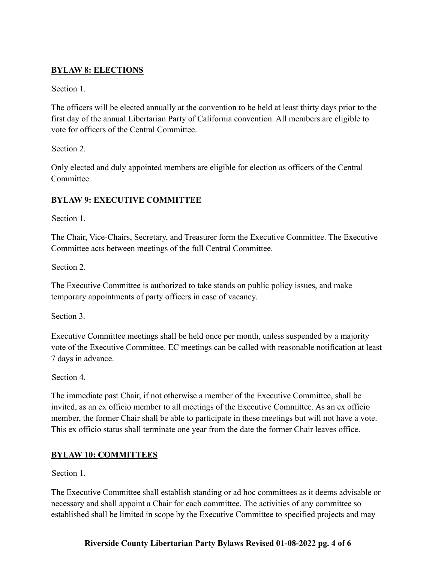## **BYLAW 8: ELECTIONS**

Section 1.

The officers will be elected annually at the convention to be held at least thirty days prior to the first day of the annual Libertarian Party of California convention. All members are eligible to vote for officers of the Central Committee.

Section 2.

Only elected and duly appointed members are eligible for election as officers of the Central **Committee** 

# **BYLAW 9: EXECUTIVE COMMITTEE**

Section 1

The Chair, Vice-Chairs, Secretary, and Treasurer form the Executive Committee. The Executive Committee acts between meetings of the full Central Committee.

Section 2.

The Executive Committee is authorized to take stands on public policy issues, and make temporary appointments of party officers in case of vacancy.

Section 3.

Executive Committee meetings shall be held once per month, unless suspended by a majority vote of the Executive Committee. EC meetings can be called with reasonable notification at least 7 days in advance.

Section 4.

The immediate past Chair, if not otherwise a member of the Executive Committee, shall be invited, as an ex officio member to all meetings of the Executive Committee. As an ex officio member, the former Chair shall be able to participate in these meetings but will not have a vote. This ex officio status shall terminate one year from the date the former Chair leaves office.

# **BYLAW 10: COMMITTEES**

Section 1.

The Executive Committee shall establish standing or ad hoc committees as it deems advisable or necessary and shall appoint a Chair for each committee. The activities of any committee so established shall be limited in scope by the Executive Committee to specified projects and may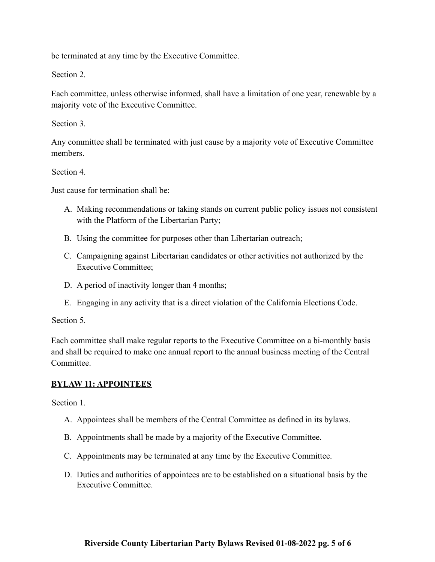be terminated at any time by the Executive Committee.

Section 2.

Each committee, unless otherwise informed, shall have a limitation of one year, renewable by a majority vote of the Executive Committee.

Section 3.

Any committee shall be terminated with just cause by a majority vote of Executive Committee members.

Section 4.

Just cause for termination shall be:

- A. Making recommendations or taking stands on current public policy issues not consistent with the Platform of the Libertarian Party;
- B. Using the committee for purposes other than Libertarian outreach;
- C. Campaigning against Libertarian candidates or other activities not authorized by the Executive Committee;
- D. A period of inactivity longer than 4 months;
- E. Engaging in any activity that is a direct violation of the California Elections Code.

Section 5.

Each committee shall make regular reports to the Executive Committee on a bi-monthly basis and shall be required to make one annual report to the annual business meeting of the Central Committee.

### **BYLAW 11: APPOINTEES**

Section 1.

- A. Appointees shall be members of the Central Committee as defined in its bylaws.
- B. Appointments shall be made by a majority of the Executive Committee.
- C. Appointments may be terminated at any time by the Executive Committee.
- D. Duties and authorities of appointees are to be established on a situational basis by the Executive Committee.